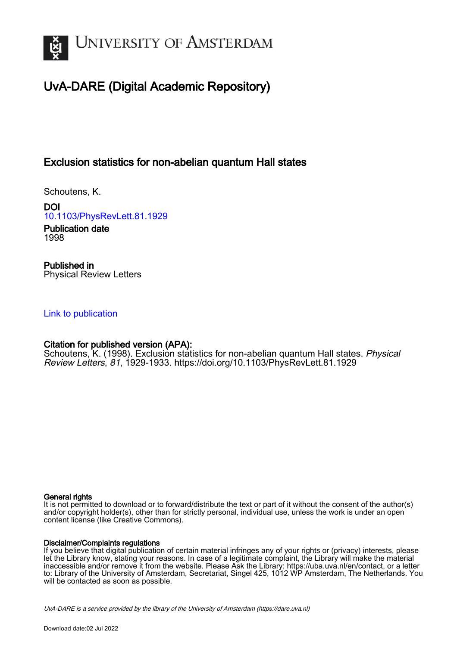

# UvA-DARE (Digital Academic Repository)

## Exclusion statistics for non-abelian quantum Hall states

Schoutens, K.

DOI [10.1103/PhysRevLett.81.1929](https://doi.org/10.1103/PhysRevLett.81.1929)

Publication date 1998

Published in Physical Review Letters

## [Link to publication](https://dare.uva.nl/personal/pure/en/publications/exclusion-statistics-for-nonabelian-quantum-hall-states(2904fc50-4cee-4f12-94be-af6e87f3a6f0).html)

## Citation for published version (APA):

Schoutens, K. (1998). Exclusion statistics for non-abelian quantum Hall states. Physical Review Letters, 81, 1929-1933. <https://doi.org/10.1103/PhysRevLett.81.1929>

### General rights

It is not permitted to download or to forward/distribute the text or part of it without the consent of the author(s) and/or copyright holder(s), other than for strictly personal, individual use, unless the work is under an open content license (like Creative Commons).

### Disclaimer/Complaints regulations

If you believe that digital publication of certain material infringes any of your rights or (privacy) interests, please let the Library know, stating your reasons. In case of a legitimate complaint, the Library will make the material inaccessible and/or remove it from the website. Please Ask the Library: https://uba.uva.nl/en/contact, or a letter to: Library of the University of Amsterdam, Secretariat, Singel 425, 1012 WP Amsterdam, The Netherlands. You will be contacted as soon as possible.

UvA-DARE is a service provided by the library of the University of Amsterdam (http*s*://dare.uva.nl)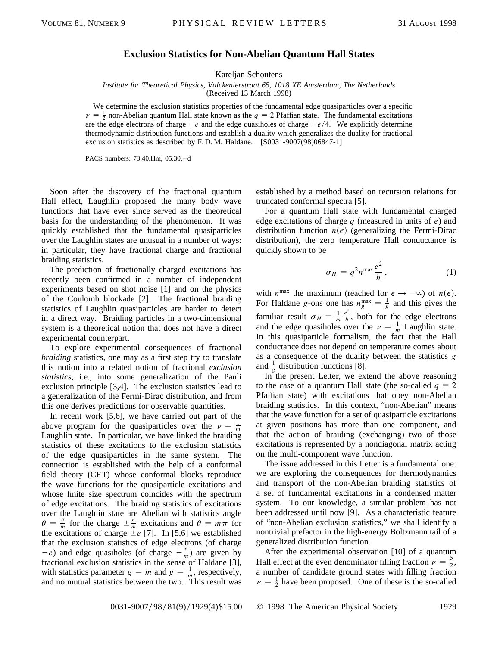### **Exclusion Statistics for Non-Abelian Quantum Hall States**

Kareljan Schoutens

*Institute for Theoretical Physics, Valckenierstraat 65, 1018 XE Amsterdam, The Netherlands*

(Received 13 March 1998)

We determine the exclusion statistics properties of the fundamental edge quasiparticles over a specific  $\nu = \frac{1}{2}$  non-Abelian quantum Hall state known as the  $q = 2$  Pfaffian state. The fundamental excitations are the edge electrons of charge  $-e$  and the edge quasiholes of charge  $+e/4$ . We explicitly determine thermodynamic distribution functions and establish a duality which generalizes the duality for fractional exclusion statistics as described by F. D. M. Haldane. [S0031-9007(98)06847-1]

PACS numbers: 73.40.Hm, 05.30. – d

Soon after the discovery of the fractional quantum Hall effect, Laughlin proposed the many body wave functions that have ever since served as the theoretical basis for the understanding of the phenomenon. It was quickly established that the fundamental quasiparticles over the Laughlin states are unusual in a number of ways: in particular, they have fractional charge and fractional braiding statistics.

The prediction of fractionally charged excitations has recently been confirmed in a number of independent experiments based on shot noise [1] and on the physics of the Coulomb blockade [2]. The fractional braiding statistics of Laughlin quasiparticles are harder to detect in a direct way. Braiding particles in a two-dimensional system is a theoretical notion that does not have a direct experimental counterpart.

To explore experimental consequences of fractional *braiding* statistics, one may as a first step try to translate this notion into a related notion of fractional *exclusion statistics*, i.e., into some generalization of the Pauli exclusion principle [3,4]. The exclusion statistics lead to a generalization of the Fermi-Dirac distribution, and from this one derives predictions for observable quantities.

In recent work [5,6], we have carried out part of the above program for the quasiparticles over the  $\nu = \frac{1}{m}$ Laughlin state. In particular, we have linked the braiding statistics of these excitations to the exclusion statistics of the edge quasiparticles in the same system. The connection is established with the help of a conformal field theory (CFT) whose conformal blocks reproduce the wave functions for the quasiparticle excitations and whose finite size spectrum coincides with the spectrum of edge excitations. The braiding statistics of excitations over the Laughlin state are Abelian with statistics angle  $\theta = \frac{\pi}{m}$  for the charge  $\pm \frac{e}{m}$  excitations and  $\theta = m\pi$  for the excitations of charge  $\pm e$  [7]. In [5,6] we established that the exclusion statistics of edge electrons (of charge  $-e$ ) and edge quasiholes (of charge  $+\frac{e}{m}$ ) are given by fractional exclusion statistics in the sense of Haldane [3], with statistics parameter  $g = m$  and  $g = \frac{1}{m}$ , respectively, and no mutual statistics between the two. This result was established by a method based on recursion relations for truncated conformal spectra [5].

For a quantum Hall state with fundamental charged edge excitations of charge *q* (measured in units of *e*) and distribution function  $n(\epsilon)$  (generalizing the Fermi-Dirac distribution), the zero temperature Hall conductance is quickly shown to be

$$
\sigma_H = q^2 n^{\max} \frac{e^2}{h}, \qquad (1)
$$

with  $n^{\max}$  the maximum (reached for  $\epsilon \to -\infty$ ) of  $n(\epsilon)$ . For Haldane *g*-ons one has  $n_g^{\text{max}} = \frac{1}{g}$  and this gives the familiar result  $\sigma_H = \frac{1}{m}$  $\frac{e^2}{h}$ , both for the edge electrons and the edge quasiholes over the  $\nu = \frac{1}{m}$  Laughlin state. In this quasiparticle formalism, the fact that the Hall conductance does not depend on temperature comes about as a consequence of the duality between the statistics *g* and  $\frac{1}{g}$  distribution functions [8].

In the present Letter, we extend the above reasoning to the case of a quantum Hall state (the so-called  $q = 2$ Pfaffian state) with excitations that obey non-Abelian braiding statistics. In this context, "non-Abelian" means that the wave function for a set of quasiparticle excitations at given positions has more than one component, and that the action of braiding (exchanging) two of those excitations is represented by a nondiagonal matrix acting on the multi-component wave function.

The issue addressed in this Letter is a fundamental one: we are exploring the consequences for thermodynamics and transport of the non-Abelian braiding statistics of a set of fundamental excitations in a condensed matter system. To our knowledge, a similar problem has not been addressed until now [9]. As a characteristic feature of "non-Abelian exclusion statistics," we shall identify a nontrivial prefactor in the high-energy Boltzmann tail of a generalized distribution function.

After the experimental observation [10] of a quantum Hall effect at the even denominator filling fraction  $\nu = \frac{5}{2}$ , a number of candidate ground states with filling fraction  $\nu = \frac{1}{2}$  have been proposed. One of these is the so-called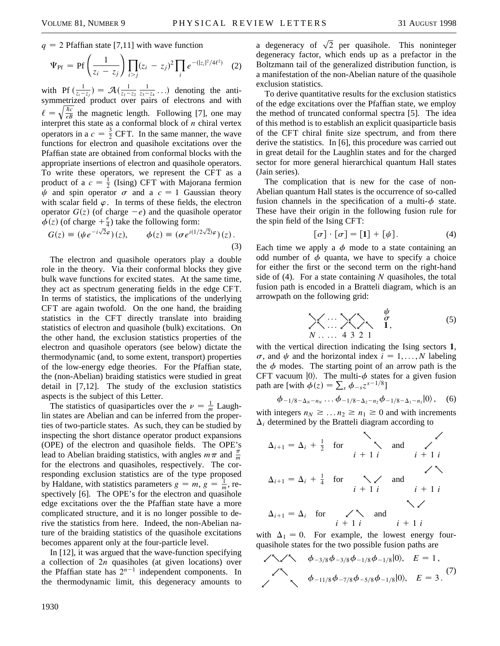$q = 2$  Pfaffian state [7,11] with wave function

$$
\Psi_{\rm Pf} = \Pr \left( \frac{1}{z_i - z_j} \right) \prod_{i > j} (z_i - z_j)^2 \prod_i e^{-(|z_i|^2/4\ell^2)} \tag{2}
$$

with Pf  $\left(\frac{1}{z_i - z_j}\right) = \mathcal{A}\left(\frac{1}{z_1 - z_2}\right)$  $\frac{1}{z_3-z_4}$ ...) denoting the antisymmetrized product over pairs of electrons and with  $\ell = \sqrt{\frac{\hbar c}{eB}}$  $\frac{hc}{eB}$  the magnetic length. Following [7], one may interpret this state as a conformal block of *n* chiral vertex operators in a  $c = \frac{3}{2}$  CFT. In the same manner, the wave functions for electron and quasihole excitations over the Pfaffian state are obtained from conformal blocks with the appropriate insertions of electron and quasihole operators. To write these operators, we represent the CFT as a product of a  $c = \frac{1}{2}$  (Ising) CFT with Majorana fermion  $\psi$  and spin operator  $\sigma$  and a  $c = 1$  Gaussian theory with scalar field  $\varphi$ . In terms of these fields, the electron operator  $G(z)$  (of charge  $-e$ ) and the quasihole operator  $\phi(z)$  (of charge  $+\frac{e}{4}$ ) take the following form: p

$$
G(z) \equiv (\psi e^{-i\sqrt{2}\varphi})(z), \qquad \phi(z) \equiv (\sigma e^{i(1/2\sqrt{2})\varphi})(z).
$$
\n(3)

The electron and quasihole operators play a double role in the theory. Via their conformal blocks they give bulk wave functions for excited states. At the same time, they act as spectrum generating fields in the edge CFT. In terms of statistics, the implications of the underlying CFT are again twofold. On the one hand, the braiding statistics in the CFT directly translate into braiding statistics of electron and quasihole (bulk) excitations. On the other hand, the exclusion statistics properties of the electron and quasihole operators (see below) dictate the thermodynamic (and, to some extent, transport) properties of the low-energy edge theories. For the Pfaffian state, the (non-Abelian) braiding statistics were studied in great detail in [7,12]. The study of the exclusion statistics aspects is the subject of this Letter.

The statistics of quasiparticles over the  $\nu = \frac{1}{m}$  Laughlin states are Abelian and can be inferred from the properties of two-particle states. As such, they can be studied by inspecting the short distance operator product expansions (OPE) of the electron and quasihole fields. The OPE's lead to Abelian braiding statistics, with angles  $m\pi$  and  $\frac{\pi}{m}$ for the electrons and quasiholes, respectively. The corresponding exclusion statistics are of the type proposed by Haldane, with statistics parameters  $g = m$ ,  $g = \frac{1}{m}$ , respectively [6]. The OPE's for the electron and quasihole edge excitations over the the Pfaffian state have a more complicated structure, and it is no longer possible to derive the statistics from here. Indeed, the non-Abelian nature of the braiding statistics of the quasihole excitations becomes apparent only at the four-particle level.

In [12], it was argued that the wave-function specifying a collection of 2*n* quasiholes (at given locations) over the Pfaffian state has  $2^{n-1}$  independent components. In the thermodynamic limit, this degeneracy amounts to

a degeneracy of  $\sqrt{2}$  per quasihole. This noninteger degeneracy factor, which ends up as a prefactor in the Boltzmann tail of the generalized distribution function, is a manifestation of the non-Abelian nature of the quasihole exclusion statistics.

To derive quantitative results for the exclusion statistics of the edge excitations over the Pfaffian state, we employ the method of truncated conformal spectra [5]. The idea of this method is to establish an explicit quasiparticle basis of the CFT chiral finite size spectrum, and from there derive the statistics. In [6], this procedure was carried out in great detail for the Laughlin states and for the charged sector for more general hierarchical quantum Hall states (Jain series).

The complication that is new for the case of non-Abelian quantum Hall states is the occurrence of so-called fusion channels in the specification of a multi- $\phi$  state. These have their origin in the following fusion rule for the spin field of the Ising CFT:

$$
[\sigma] \cdot [\sigma] = [1] + [\psi]. \tag{4}
$$

Each time we apply a  $\phi$  mode to a state containing an odd number of  $\phi$  quanta, we have to specify a choice for either the first or the second term on the right-hand side of (4). For a state containing *N* quasiholes, the total fusion path is encoded in a Bratteli diagram, which is an arrowpath on the following grid:

$$
\begin{array}{ccc}\n & \cdots & \searrow & \downarrow & \sigma \\
\searrow & \cdots & \searrow & \searrow & \tau \\
N & \cdots & 4 & 3 & 2 & 1\n\end{array} \tag{5}
$$

with the vertical direction indicating the Ising sectors **1**,  $\sigma$ , and  $\psi$  and the horizontal index  $i = 1, \ldots, N$  labeling the  $\phi$  modes. The starting point of an arrow path is the CFT vacuum  $|0\rangle$ . The multi- $\phi$  states for a given fusion path are [with  $\phi(z) = \sum_{s} \phi_{-s}z^{s-1/8}$ ]

$$
\phi_{-1/8-\Delta_N-n_N} \dots \phi_{-1/8-\Delta_2-n_2} \phi_{-1/8-\Delta_1-n_1} |0\rangle
$$
, (6)

with integers  $n_N \geq ... n_2 \geq n_1 \geq 0$  and with increments  $\Delta_i$  determined by the Bratteli diagram according to

$$
\Delta_{i+1} = \Delta_i + \frac{1}{2} \quad \text{for} \quad \searrow \quad \text{and} \quad \swarrow
$$
\n
$$
\Delta_{i+1} = \Delta_i + \frac{1}{4} \quad \text{for} \quad \searrow \quad \text{and} \quad \swarrow
$$
\n
$$
\Delta_{i+1} = \Delta_i \quad \text{for} \quad \swarrow \quad \text{and} \quad \swarrow
$$
\n
$$
\Delta_{i+1} = \Delta_i \quad \text{for} \quad \swarrow \quad \text{and} \quad \swarrow
$$
\n
$$
i + 1 i \qquad i + 1 i
$$

with  $\Delta_1 = 0$ . For example, the lowest energy fourquasihole states for the two possible fusion paths are

$$
\angle N \times N \qquad \phi_{-3/8} \phi_{-3/8} \phi_{-1/8} \phi_{-1/8} |0\rangle, \quad E = 1,
$$
  

$$
\phi_{-11/8} \phi_{-7/8} \phi_{-5/8} \phi_{-1/8} |0\rangle, \quad E = 3.
$$
<sup>(7)</sup>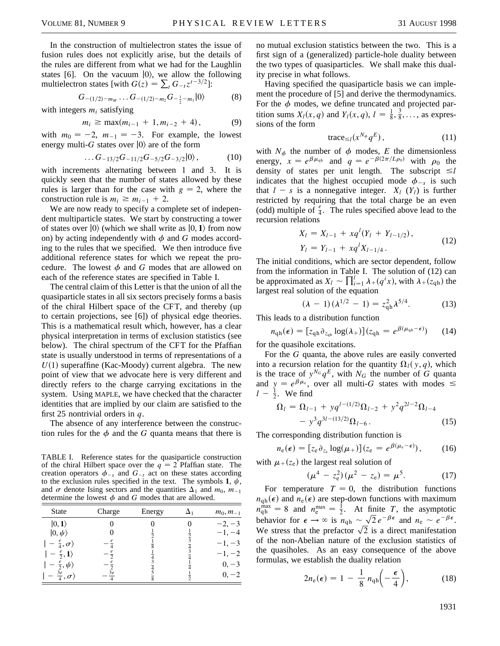In the construction of multielectron states the issue of fusion rules does not explicitly arise, but the details of the rules are different from what we had for the Laughlin states [6]. On the vacuum  $|0\rangle$ , we allow the following multielectron states [with  $G(z) = \sum_{t} G_{-t} z^{t-3/2}$ ]:

$$
G_{-(1/2)-m_M}\ldots G_{-(1/2)-m_2}G_{-\frac{1}{2}-m_1}|0\rangle \qquad \qquad (8)
$$

with integers  $m_i$  satisfying

$$
m_i \ge \max(m_{i-1} + 1, m_{i-2} + 4), \tag{9}
$$

with  $m_0 = -2$ ,  $m_{-1} = -3$ . For example, the lowest energy multi-*G* states over  $|0\rangle$  are of the form

$$
\ldots G_{-13/2}G_{-11/2}G_{-5/2}G_{-3/2}|0\rangle, \qquad (10)
$$

with increments alternating between 1 and 3. It is quickly seen that the number of states allowed by these rules is larger than for the case with  $g = 2$ , where the construction rule is  $m_i \ge m_{i-1} + 2$ .

We are now ready to specify a complete set of independent multiparticle states. We start by constructing a tower of states over  $|0\rangle$  (which we shall write as  $|0, 1\rangle$  from now on) by acting independently with  $\phi$  and *G* modes according to the rules that we specified. We then introduce five additional reference states for which we repeat the procedure. The lowest  $\phi$  and *G* modes that are allowed on each of the reference states are specified in Table I.

The central claim of this Letter is that the union of all the quasiparticle states in all six sectors precisely forms a basis of the chiral Hilbert space of the CFT, and thereby (up to certain projections, see [6]) of physical edge theories. This is a mathematical result which, however, has a clear physical interpretation in terms of exclusion statistics (see below). The chiral spectrum of the CFT for the Pfaffian state is usually understood in terms of representations of a  $U(1)$  superaffine (Kac-Moody) current algebra. The new point of view that we advocate here is very different and directly refers to the charge carrying excitations in the system. Using MAPLE, we have checked that the character identities that are implied by our claim are satisfied to the first 25 nontrivial orders in *q*.

The absence of any interference between the construction rules for the  $\phi$  and the *G* quanta means that there is

TABLE I. Reference states for the quasiparticle construction of the chiral Hilbert space over the  $q = 2$  Pfaffian state. The creation operators  $\phi_{-s}$  and  $G_{-t}$  act on these states according to the exclusion rules specified in the text. The symbols 1,  $\psi$ , and  $\sigma$  denote Ising sectors and the quantities  $\Delta_1$  and  $m_0$ ,  $m_{-1}$ determine the lowest  $\phi$  and *G* modes that are allowed.

| $ 0,1\rangle$<br>$ 0, \psi\rangle$<br>$-\frac{e}{4},\sigma\rangle$<br>$-\frac{e}{2},1\rangle$ | $m_0, m_{-1}$                                                      |
|-----------------------------------------------------------------------------------------------|--------------------------------------------------------------------|
| $-\frac{e}{2}, \psi$<br>$\cdot \frac{3e}{4}, \sigma \rangle$                                  | $-2, -3$<br>$-1, -4$<br>$-1, -3$<br>$-1, -2$<br>$0, -3$<br>$0, -2$ |

no mutual exclusion statistics between the two. This is a first sign of a (generalized) particle-hole duality between the two types of quasiparticles. We shall make this duality precise in what follows.

Having specified the quasiparticle basis we can implement the procedure of [5] and derive the thermodynamics. For the  $\phi$  modes, we define truncated and projected partition sums  $X_l(x, q)$  and  $Y_l(x, q)$ ,  $l = \frac{1}{8}, \frac{3}{8}, \ldots$ , as expressions of the form

$$
\text{trace}_{\leq l}(x^{N_{\phi}}q^{E}),\tag{11}
$$

with  $N_{\phi}$  the number of  $\phi$  modes, *E* the dimensionless energy,  $x = e^{\beta \mu_{qh}}$  and  $q = e^{-\beta(2\pi/L\rho_0)}$  with  $\rho_0$  the density of states per unit length. The subscript  $\leq l$ indicates that the highest occupied mode  $\phi_{-s}$  is such that  $l - s$  is a nonnegative integer.  $X_l$  ( $Y_l$ ) is further restricted by requiring that the total charge be an even (odd) multiple of  $\frac{e}{4}$ . The rules specified above lead to the recursion relations

$$
X_l = X_{l-1} + xq^l(Y_l + Y_{l-1/2}),
$$
  
\n
$$
Y_l = Y_{l-1} + xq^l X_{l-1/4}.
$$
\n(12)

The initial conditions, which are sector dependent, follow from the information in Table I. The solution of (12) can be approximated as  $X_l \sim \prod_{i=1}^{l} \lambda_i(q^i x)$ , with  $\lambda_i(z_{qh})$  the largest real solution of the equation

$$
(\lambda - 1)(\lambda^{1/2} - 1) = z_{qh}^2 \lambda^{5/4}.
$$
 (13)

This leads to a distribution function

$$
n_{\mathrm{qh}}(\epsilon) = [z_{\mathrm{qh}} \partial_{z_{\mathrm{qh}}} \log(\lambda_+)] (z_{\mathrm{qh}} = e^{\beta(\mu_{\mathrm{qh}} - \epsilon)}) \qquad (14)
$$

for the quasihole excitations.

For the *G* quanta, the above rules are easily converted into a recursion relation for the quantity  $\Omega_l(y, q)$ , which is the trace of  $y^{N_G} q^E$ , with  $N_G$  the number of *G* quanta and  $y = e^{\beta \mu_e}$ , over all multi-*G* states with modes  $\leq$  $l - \frac{1}{2}$ . We find

$$
\Omega_{l} = \Omega_{l-1} + yq^{l-(1/2)}\Omega_{l-2} + y^2q^{2l-2}\Omega_{l-4}
$$
  
-  $y^3q^{3l-(13/2)}\Omega_{l-6}$ . (15)

The corresponding distribution function is

$$
n_{e}(\epsilon) = [z_{e} \partial_{z_{e}} \log(\mu_{+})](z_{e} = e^{\beta(\mu_{e} - \epsilon)}), \qquad (16)
$$

with  $\mu_+(z_e)$  the largest real solution of

$$
(\mu^4 - z_e^2)(\mu^2 - z_e) = \mu^5. \tag{17}
$$

For temperature  $T = 0$ , the distribution functions  $n_{\rm qh}(\epsilon)$  and  $n_{\rm e}(\epsilon)$  are step-down functions with maximum  $n_{\text{qh}}^{\text{max}} = 8$  and  $n_{\text{e}}^{\text{max}} = \frac{1}{2}$ . At finite *T*, the asymptotic behavior for  $\epsilon \to \infty$  is  $n_{\text{qh}} \sim \sqrt{2} e^{-\beta \epsilon}$  and  $n_{\text{e}} \sim e^{-\beta \epsilon}$ . We stress that the prefactor  $\sqrt{2}$  is a direct manifestation of the non-Abelian nature of the exclusion statistics of the quasiholes. As an easy consequence of the above formulas, we establish the duality relation

$$
2n_{e}(\epsilon) = 1 - \frac{1}{8} n_{\text{qh}} \left( -\frac{\epsilon}{4} \right), \tag{18}
$$